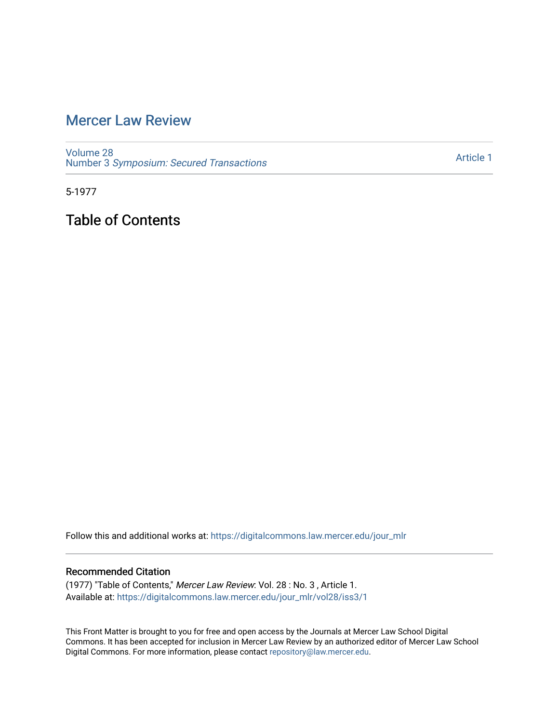# [Mercer Law Review](https://digitalcommons.law.mercer.edu/jour_mlr)

[Volume 28](https://digitalcommons.law.mercer.edu/jour_mlr/vol28) Number 3 [Symposium: Secured Transactions](https://digitalcommons.law.mercer.edu/jour_mlr/vol28/iss3)

[Article 1](https://digitalcommons.law.mercer.edu/jour_mlr/vol28/iss3/1) 

5-1977

Table of Contents

Follow this and additional works at: [https://digitalcommons.law.mercer.edu/jour\\_mlr](https://digitalcommons.law.mercer.edu/jour_mlr?utm_source=digitalcommons.law.mercer.edu%2Fjour_mlr%2Fvol28%2Fiss3%2F1&utm_medium=PDF&utm_campaign=PDFCoverPages)

### Recommended Citation

(1977) "Table of Contents," Mercer Law Review: Vol. 28 : No. 3 , Article 1. Available at: [https://digitalcommons.law.mercer.edu/jour\\_mlr/vol28/iss3/1](https://digitalcommons.law.mercer.edu/jour_mlr/vol28/iss3/1?utm_source=digitalcommons.law.mercer.edu%2Fjour_mlr%2Fvol28%2Fiss3%2F1&utm_medium=PDF&utm_campaign=PDFCoverPages)

This Front Matter is brought to you for free and open access by the Journals at Mercer Law School Digital Commons. It has been accepted for inclusion in Mercer Law Review by an authorized editor of Mercer Law School Digital Commons. For more information, please contact [repository@law.mercer.edu](mailto:repository@law.mercer.edu).